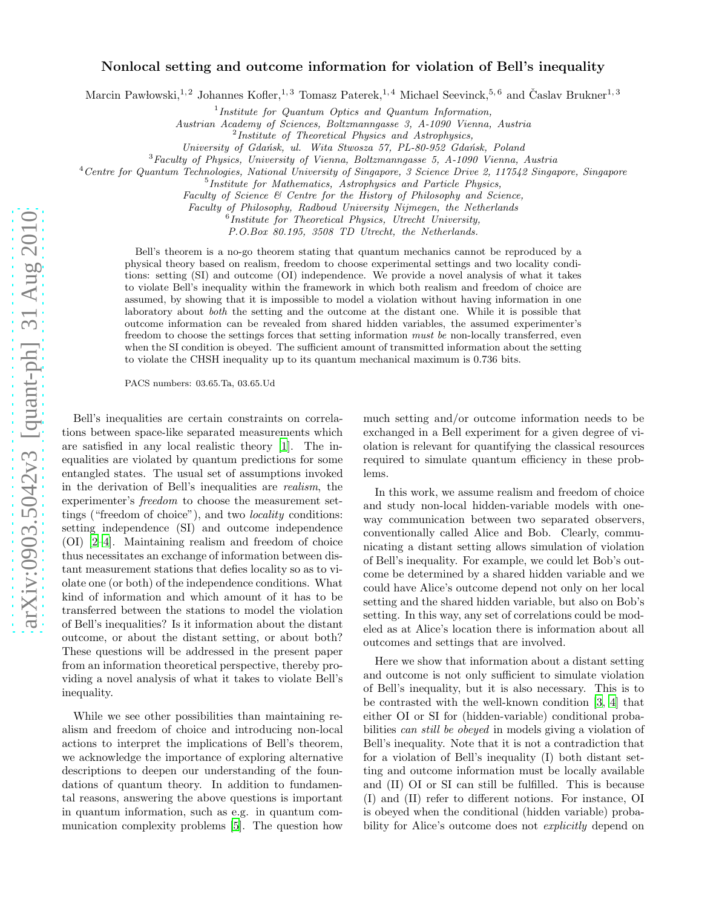## Nonlocal setting and outcome information for violation of Bell's inequality

Marcin Pawłowski,<sup>1,2</sup> Johannes Kofler,<sup>1,3</sup> Tomasz Paterek,<sup>1,4</sup> Michael Seevinck,<sup>5,6</sup> and Časlav Brukner<sup>1,3</sup>

<sup>1</sup>Institute for Quantum Optics and Quantum Information,

Austrian Academy of Sciences, Boltzmanngasse 3, A-1090 Vienna, Austria

<sup>2</sup> Institute of Theoretical Physics and Astrophysics,

University of Gdańsk, ul. Wita Stwosza 57, PL-80-952 Gdańsk, Poland

<sup>3</sup>Faculty of Physics, University of Vienna, Boltzmanngasse 5, A-1090 Vienna, Austria

 $4$ Centre for Quantum Technologies, National University of Singapore, 3 Science Drive 2, 117542 Singapore, Singapore

5 Institute for Mathematics, Astrophysics and Particle Physics,

Faculty of Science & Centre for the History of Philosophy and Science,

Faculty of Philosophy, Radboud University Nijmegen, the Netherlands

 $6$ Institute for Theoretical Physics, Utrecht University,

P.O.Box 80.195, 3508 TD Utrecht, the Netherlands.

Bell's theorem is a no-go theorem stating that quantum mechanics cannot be reproduced by a physical theory based on realism, freedom to choose experimental settings and two locality conditions: setting (SI) and outcome (OI) independence. We provide a novel analysis of what it takes to violate Bell's inequality within the framework in which both realism and freedom of choice are assumed, by showing that it is impossible to model a violation without having information in one laboratory about both the setting and the outcome at the distant one. While it is possible that outcome information can be revealed from shared hidden variables, the assumed experimenter's freedom to choose the settings forces that setting information must be non-locally transferred, even when the SI condition is obeyed. The sufficient amount of transmitted information about the setting to violate the CHSH inequality up to its quantum mechanical maximum is 0.736 bits.

PACS numbers: 03.65.Ta, 03.65.Ud

Bell's inequalities are certain constraints on correlations between space-like separated measurements which are satisfied in any local realistic theory [\[1\]](#page-4-0). The inequalities are violated by quantum predictions for some entangled states. The usual set of assumptions invoked in the derivation of Bell's inequalities are realism, the experimenter's freedom to choose the measurement settings ("freedom of choice"), and two locality conditions: setting independence (SI) and outcome independence (OI) [\[2](#page-4-1)[–4](#page-4-2)]. Maintaining realism and freedom of choice thus necessitates an exchange of information between distant measurement stations that defies locality so as to violate one (or both) of the independence conditions. What kind of information and which amount of it has to be transferred between the stations to model the violation of Bell's inequalities? Is it information about the distant outcome, or about the distant setting, or about both? These questions will be addressed in the present paper from an information theoretical perspective, thereby providing a novel analysis of what it takes to violate Bell's inequality.

While we see other possibilities than maintaining realism and freedom of choice and introducing non-local actions to interpret the implications of Bell's theorem, we acknowledge the importance of exploring alternative descriptions to deepen our understanding of the foundations of quantum theory. In addition to fundamental reasons, answering the above questions is important in quantum information, such as e.g. in quantum communication complexity problems [\[5\]](#page-4-3). The question how

much setting and/or outcome information needs to be exchanged in a Bell experiment for a given degree of violation is relevant for quantifying the classical resources required to simulate quantum efficiency in these problems.

In this work, we assume realism and freedom of choice and study non-local hidden-variable models with oneway communication between two separated observers, conventionally called Alice and Bob. Clearly, communicating a distant setting allows simulation of violation of Bell's inequality. For example, we could let Bob's outcome be determined by a shared hidden variable and we could have Alice's outcome depend not only on her local setting and the shared hidden variable, but also on Bob's setting. In this way, any set of correlations could be modeled as at Alice's location there is information about all outcomes and settings that are involved.

Here we show that information about a distant setting and outcome is not only sufficient to simulate violation of Bell's inequality, but it is also necessary. This is to be contrasted with the well-known condition [\[3,](#page-4-4) [4](#page-4-2)] that either OI or SI for (hidden-variable) conditional probabilities can still be obeyed in models giving a violation of Bell's inequality. Note that it is not a contradiction that for a violation of Bell's inequality (I) both distant setting and outcome information must be locally available and (II) OI or SI can still be fulfilled. This is because (I) and (II) refer to different notions. For instance, OI is obeyed when the conditional (hidden variable) probability for Alice's outcome does not *explicitly* depend on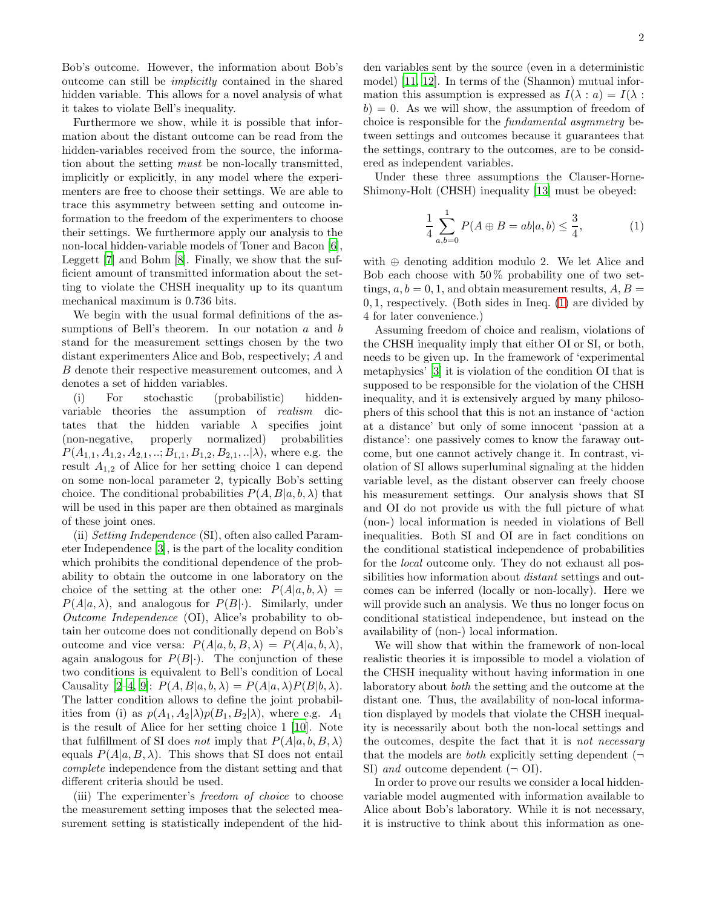Bob's outcome. However, the information about Bob's outcome can still be implicitly contained in the shared hidden variable. This allows for a novel analysis of what it takes to violate Bell's inequality.

Furthermore we show, while it is possible that information about the distant outcome can be read from the hidden-variables received from the source, the information about the setting must be non-locally transmitted, implicitly or explicitly, in any model where the experimenters are free to choose their settings. We are able to trace this asymmetry between setting and outcome information to the freedom of the experimenters to choose their settings. We furthermore apply our analysis to the non-local hidden-variable models of Toner and Bacon [\[6\]](#page-4-5), Leggett [\[7\]](#page-4-6) and Bohm [\[8\]](#page-4-7). Finally, we show that the sufficient amount of transmitted information about the setting to violate the CHSH inequality up to its quantum mechanical maximum is 0.736 bits.

We begin with the usual formal definitions of the assumptions of Bell's theorem. In our notation  $a$  and  $b$ stand for the measurement settings chosen by the two distant experimenters Alice and Bob, respectively; A and B denote their respective measurement outcomes, and  $\lambda$ denotes a set of hidden variables.

(i) For stochastic (probabilistic) hiddenvariable theories the assumption of realism dictates that the hidden variable  $\lambda$  specifies joint (non-negative, properly normalized) probabilities  $P(A_{1,1}, A_{1,2}, A_{2,1},..; B_{1,1}, B_{1,2}, B_{2,1},.. | \lambda)$ , where e.g. the result  $A_{1,2}$  of Alice for her setting choice 1 can depend on some non-local parameter 2, typically Bob's setting choice. The conditional probabilities  $P(A, B|a, b, \lambda)$  that will be used in this paper are then obtained as marginals of these joint ones.

(ii) Setting Independence (SI), often also called Parameter Independence [\[3\]](#page-4-4), is the part of the locality condition which prohibits the conditional dependence of the probability to obtain the outcome in one laboratory on the choice of the setting at the other one:  $P(A|a, b, \lambda) =$  $P(A|a,\lambda)$ , and analogous for  $P(B|\cdot)$ . Similarly, under Outcome Independence (OI), Alice's probability to obtain her outcome does not conditionally depend on Bob's outcome and vice versa:  $P(A|a, b, B, \lambda) = P(A|a, b, \lambda)$ , again analogous for  $P(B|\cdot)$ . The conjunction of these two conditions is equivalent to Bell's condition of Local Causality [\[2](#page-4-1)[–4](#page-4-2), [9\]](#page-4-8):  $P(A, B|a, b, \lambda) = P(A|a, \lambda)P(B|b, \lambda)$ . The latter condition allows to define the joint probabilities from (i) as  $p(A_1, A_2|\lambda)p(B_1, B_2|\lambda)$ , where e.g.  $A_1$ is the result of Alice for her setting choice 1 [\[10\]](#page-4-9). Note that fulfillment of SI does not imply that  $P(A|a, b, B, \lambda)$ equals  $P(A|a, B, \lambda)$ . This shows that SI does not entail complete independence from the distant setting and that different criteria should be used.

(iii) The experimenter's freedom of choice to choose the measurement setting imposes that the selected measurement setting is statistically independent of the hidden variables sent by the source (even in a deterministic model) [\[11,](#page-4-10) [12\]](#page-4-11). In terms of the (Shannon) mutual information this assumption is expressed as  $I(\lambda : a) = I(\lambda : a)$  $b$ ) = 0. As we will show, the assumption of freedom of choice is responsible for the fundamental asymmetry between settings and outcomes because it guarantees that the settings, contrary to the outcomes, are to be considered as independent variables.

Under these three assumptions the Clauser-Horne-Shimony-Holt (CHSH) inequality [\[13](#page-4-12)] must be obeyed:

<span id="page-1-0"></span>
$$
\frac{1}{4} \sum_{a,b=0}^{1} P(A \oplus B = ab | a, b) \le \frac{3}{4},
$$
 (1)

with ⊕ denoting addition modulo 2. We let Alice and Bob each choose with  $50\%$  probability one of two settings,  $a, b = 0, 1$ , and obtain measurement results,  $A, B =$ 0, 1, respectively. (Both sides in Ineq. [\(1\)](#page-1-0) are divided by 4 for later convenience.)

Assuming freedom of choice and realism, violations of the CHSH inequality imply that either OI or SI, or both, needs to be given up. In the framework of 'experimental metaphysics' [\[3](#page-4-4)] it is violation of the condition OI that is supposed to be responsible for the violation of the CHSH inequality, and it is extensively argued by many philosophers of this school that this is not an instance of 'action at a distance' but only of some innocent 'passion at a distance': one passively comes to know the faraway outcome, but one cannot actively change it. In contrast, violation of SI allows superluminal signaling at the hidden variable level, as the distant observer can freely choose his measurement settings. Our analysis shows that SI and OI do not provide us with the full picture of what (non-) local information is needed in violations of Bell inequalities. Both SI and OI are in fact conditions on the conditional statistical independence of probabilities for the local outcome only. They do not exhaust all possibilities how information about *distant* settings and outcomes can be inferred (locally or non-locally). Here we will provide such an analysis. We thus no longer focus on conditional statistical independence, but instead on the availability of (non-) local information.

We will show that within the framework of non-local realistic theories it is impossible to model a violation of the CHSH inequality without having information in one laboratory about both the setting and the outcome at the distant one. Thus, the availability of non-local information displayed by models that violate the CHSH inequality is necessarily about both the non-local settings and the outcomes, despite the fact that it is not necessary that the models are *both* explicitly setting dependent  $(\neg$ SI) and outcome dependent  $(\neg \text{OI})$ .

In order to prove our results we consider a local hiddenvariable model augmented with information available to Alice about Bob's laboratory. While it is not necessary, it is instructive to think about this information as one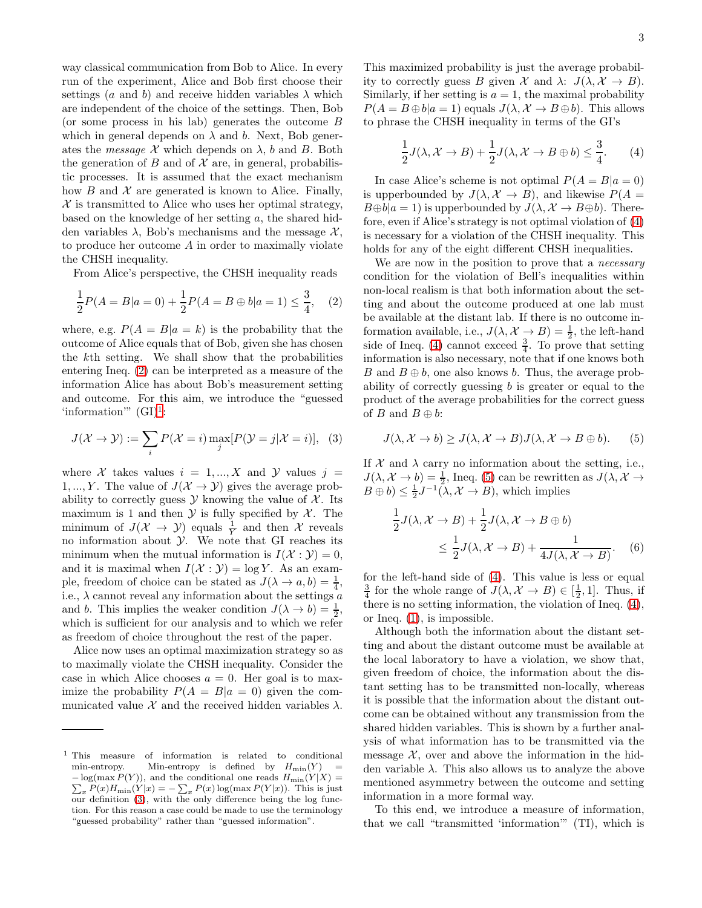way classical communication from Bob to Alice. In every run of the experiment, Alice and Bob first choose their settings (a and b) and receive hidden variables  $\lambda$  which are independent of the choice of the settings. Then, Bob (or some process in his lab) generates the outcome  $B$ which in general depends on  $\lambda$  and b. Next, Bob generates the *message*  $\mathcal X$  which depends on  $\lambda$ , b and B. Both the generation of  $B$  and of  $\mathcal X$  are, in general, probabilistic processes. It is assumed that the exact mechanism how  $B$  and  $\mathcal X$  are generated is known to Alice. Finally,  $\mathcal X$  is transmitted to Alice who uses her optimal strategy, based on the knowledge of her setting a, the shared hidden variables  $\lambda$ , Bob's mechanisms and the message X. to produce her outcome A in order to maximally violate the CHSH inequality.

From Alice's perspective, the CHSH inequality reads

$$
\frac{1}{2}P(A=B|a=0) + \frac{1}{2}P(A=B \oplus b|a=1) \le \frac{3}{4}, \quad (2)
$$

where, e.g.  $P(A = B|a = k)$  is the probability that the outcome of Alice equals that of Bob, given she has chosen the kth setting. We shall show that the probabilities entering Ineq. [\(2\)](#page-2-0) can be interpreted as a measure of the information Alice has about Bob's measurement setting and outcome. For this aim, we introduce the "guessed 'information'"  $(GI)^1$  $(GI)^1$ :

<span id="page-2-2"></span>
$$
J(\mathcal{X} \to \mathcal{Y}) := \sum_{i} P(\mathcal{X} = i) \max_{j} [P(\mathcal{Y} = j | \mathcal{X} = i)], \quad (3)
$$

where X takes values  $i = 1, ..., X$  and Y values  $j =$ 1, ..., Y. The value of  $J(\mathcal{X} \to \mathcal{Y})$  gives the average probability to correctly guess  $\mathcal Y$  knowing the value of  $\mathcal X$ . Its maximum is 1 and then  $\mathcal Y$  is fully specified by  $\mathcal X$ . The minimum of  $J(\mathcal{X} \to \mathcal{Y})$  equals  $\frac{1}{Y}$  and then X reveals no information about  $\mathcal Y$ . We note that GI reaches its minimum when the mutual information is  $I(\mathcal{X} : \mathcal{Y}) = 0$ , and it is maximal when  $I(\mathcal{X} : \mathcal{Y}) = \log Y$ . As an example, freedom of choice can be stated as  $J(\lambda \to a, b) = \frac{1}{4}$ , i.e.,  $\lambda$  cannot reveal any information about the settings a and b. This implies the weaker condition  $J(\lambda \to b) = \frac{1}{2}$ , which is sufficient for our analysis and to which we refer as freedom of choice throughout the rest of the paper.

Alice now uses an optimal maximization strategy so as to maximally violate the CHSH inequality. Consider the case in which Alice chooses  $a = 0$ . Her goal is to maximize the probability  $P(A = B|a = 0)$  given the communicated value  $\mathcal X$  and the received hidden variables  $\lambda$ .

This maximized probability is just the average probability to correctly guess B given  $\mathcal X$  and  $\lambda: J(\lambda, \mathcal X \to B)$ . Similarly, if her setting is  $a = 1$ , the maximal probability  $P(A = B \oplus b | a = 1)$  equals  $J(\lambda, \mathcal{X} \rightarrow B \oplus b)$ . This allows to phrase the CHSH inequality in terms of the GI's

<span id="page-2-3"></span>
$$
\frac{1}{2}J(\lambda, \mathcal{X} \to B) + \frac{1}{2}J(\lambda, \mathcal{X} \to B \oplus b) \le \frac{3}{4}.
$$
 (4)

In case Alice's scheme is not optimal  $P(A = B|a = 0)$ is upperbounded by  $J(\lambda, \mathcal{X} \rightarrow B)$ , and likewise  $P(A =$  $B \oplus b|a = 1$ ) is upperbounded by  $J(\lambda, \mathcal{X} \to B \oplus b)$ . Therefore, even if Alice's strategy is not optimal violation of [\(4\)](#page-2-3) is necessary for a violation of the CHSH inequality. This holds for any of the eight different CHSH inequalities.

<span id="page-2-0"></span>We are now in the position to prove that a *necessary* condition for the violation of Bell's inequalities within non-local realism is that both information about the setting and about the outcome produced at one lab must be available at the distant lab. If there is no outcome information available, i.e.,  $J(\lambda, \mathcal{X} \to B) = \frac{1}{2}$ , the left-hand side of Ineq. [\(4\)](#page-2-3) cannot exceed  $\frac{3}{4}$ . To prove that setting information is also necessary, note that if one knows both B and  $B \oplus b$ , one also knows b. Thus, the average probability of correctly guessing b is greater or equal to the product of the average probabilities for the correct guess of B and  $B \oplus b$ :

<span id="page-2-4"></span>
$$
J(\lambda, \mathcal{X} \to b) \ge J(\lambda, \mathcal{X} \to B)J(\lambda, \mathcal{X} \to B \oplus b).
$$
 (5)

If  $\mathcal X$  and  $\lambda$  carry no information about the setting, i.e.,  $J(\lambda, \mathcal{X} \to b) = \frac{1}{2}$ , Ineq. [\(5\)](#page-2-4) can be rewritten as  $J(\lambda, \mathcal{X} \to$  $B \oplus b$ )  $\leq \frac{1}{2}$  $J^{-1}(\lambda, \mathcal{X} \to B)$ , which implies

$$
\frac{1}{2}J(\lambda, \mathcal{X} \to B) + \frac{1}{2}J(\lambda, \mathcal{X} \to B \oplus b)
$$
  
 
$$
\leq \frac{1}{2}J(\lambda, \mathcal{X} \to B) + \frac{1}{4J(\lambda, \mathcal{X} \to B)}. (6)
$$

for the left-hand side of [\(4\)](#page-2-3). This value is less or equal  $\frac{3}{4}$  for the whole range of  $J(\lambda, \mathcal{X} \to B) \in [\frac{1}{2}, 1]$ . Thus, if there is no setting information, the violation of Ineq. [\(4\)](#page-2-3), or Ineq. [\(1\)](#page-1-0), is impossible.

Although both the information about the distant setting and about the distant outcome must be available at the local laboratory to have a violation, we show that, given freedom of choice, the information about the distant setting has to be transmitted non-locally, whereas it is possible that the information about the distant outcome can be obtained without any transmission from the shared hidden variables. This is shown by a further analysis of what information has to be transmitted via the message  $X$ , over and above the information in the hidden variable  $\lambda$ . This also allows us to analyze the above mentioned asymmetry between the outcome and setting information in a more formal way.

To this end, we introduce a measure of information, that we call "transmitted 'information'" (TI), which is

<span id="page-2-1"></span><sup>1</sup> This measure of information is related to conditional min-entropy. Min-entropy is defined by  $H_{\text{min}}(Y) = -\log(\max P(Y))$ , and the conditional one reads  $H_{\text{min}}(Y|X) =$  $-\log(\max P(Y))$ , and the conditional one reads  $H_{\min}(Y|X) = \sum_x P(x) H_{\min}(Y|x) = -\sum_x P(x) \log(\max P(Y|x))$ . This is just our definition [\(3\)](#page-2-2), with the only difference being the log function. For this reason a case could be made to use the terminology "guessed probability" rather than "guessed information".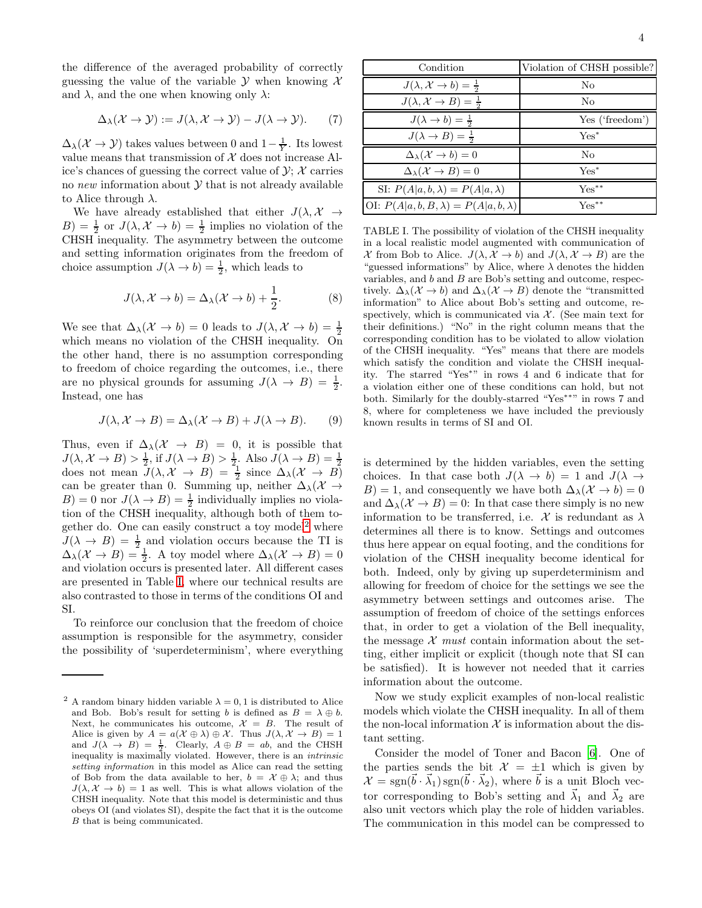the difference of the averaged probability of correctly guessing the value of the variable  $\mathcal Y$  when knowing  $\mathcal X$ and  $\lambda$ , and the one when knowing only  $\lambda$ :

$$
\Delta_{\lambda}(\mathcal{X} \to \mathcal{Y}) := J(\lambda, \mathcal{X} \to \mathcal{Y}) - J(\lambda \to \mathcal{Y}). \tag{7}
$$

 $\Delta_{\lambda}(\mathcal{X} \to \mathcal{Y})$  takes values between 0 and  $1 - \frac{1}{Y}$ . Its lowest value means that transmission of  $X$  does not increase Alice's chances of guessing the correct value of  $\mathcal{Y}$ ;  $\mathcal{X}$  carries no new information about  $Y$  that is not already available to Alice through  $\lambda$ .

We have already established that either  $J(\lambda, \mathcal{X} \rightarrow$  $(B) = \frac{1}{2}$  or  $J(\lambda, \mathcal{X} \to b) = \frac{1}{2}$  implies no violation of the CHSH inequality. The asymmetry between the outcome and setting information originates from the freedom of choice assumption  $J(\lambda \to b) = \frac{1}{2}$ , which leads to

$$
J(\lambda, \mathcal{X} \to b) = \Delta_{\lambda}(\mathcal{X} \to b) + \frac{1}{2}.
$$
 (8)

We see that  $\Delta_{\lambda}(\mathcal{X} \to b) = 0$  leads to  $J(\lambda, \mathcal{X} \to b) = \frac{1}{2}$ which means no violation of the CHSH inequality. On the other hand, there is no assumption corresponding to freedom of choice regarding the outcomes, i.e., there are no physical grounds for assuming  $J(\lambda \to B) = \frac{1}{2}$ . Instead, one has

$$
J(\lambda, \mathcal{X} \to B) = \Delta_{\lambda}(\mathcal{X} \to B) + J(\lambda \to B). \tag{9}
$$

Thus, even if  $\Delta_{\lambda}(X \rightarrow B) = 0$ , it is possible that  $J(\lambda, \mathcal{X} \to B) > \frac{1}{2}$ , if  $J(\lambda \to B) > \frac{1}{2}$ . Also  $J(\lambda \to B) = \frac{1}{2}$ <br>does not mean  $J(\lambda, \mathcal{X} \to B) = \frac{1}{2}$  since  $\Delta_{\lambda}(\mathcal{X} \to B)$ can be greater than 0. Summing up, neither  $\Delta_{\lambda}(X \rightarrow$  $B$ ) = 0 nor  $J(\lambda \rightarrow B) = \frac{1}{2}$  individually implies no violation of the CHSH inequality, although both of them to-gether do. One can easily construct a toy model<sup>[2](#page-3-0)</sup> where  $J(\lambda \rightarrow B) = \frac{1}{2}$  and violation occurs because the TI is  $\Delta_{\lambda}(\mathcal{X} \to B) = \frac{1}{2}$ . A toy model where  $\Delta_{\lambda}(\mathcal{X} \to B) = 0$ and violation occurs is presented later. All different cases are presented in Table [I,](#page-3-1) where our technical results are also contrasted to those in terms of the conditions OI and SI.

To reinforce our conclusion that the freedom of choice assumption is responsible for the asymmetry, consider the possibility of 'superdeterminism', where everything

| Condition                                         | Violation of CHSH possible? |
|---------------------------------------------------|-----------------------------|
| $J(\lambda, \mathcal{X} \to b) = \frac{1}{2}$     | N <sub>0</sub>              |
| $J(\lambda, \mathcal{X} \to B) = \frac{1}{2}$     | No                          |
| $J(\lambda \rightarrow b) = \frac{1}{2}$          | Yes ('freedom')             |
| $J(\lambda \rightarrow B) = \frac{1}{2}$          | $Yes^*$                     |
| $\Delta_{\lambda}(\mathcal{X} \rightarrow b) = 0$ | No                          |
| $\Delta_{\lambda}(\mathcal{X} \to B) = 0$         | $Yes^*$                     |
| SI: $P(A a, b, \lambda) = P(A a, \lambda)$        | $Yes***$                    |
| OI: $P(A a, b, B, \lambda) = P(A a, b, \lambda)$  | $\operatorname{Yes}^{**}$   |

<span id="page-3-1"></span>TABLE I. The possibility of violation of the CHSH inequality in a local realistic model augmented with communication of X from Bob to Alice.  $J(\lambda, \mathcal{X} \to b)$  and  $J(\lambda, \mathcal{X} \to B)$  are the "guessed informations" by Alice, where  $\lambda$  denotes the hidden variables, and  $b$  and  $B$  are Bob's setting and outcome, respectively.  $\Delta_{\lambda}(\mathcal{X} \to b)$  and  $\Delta_{\lambda}(\mathcal{X} \to B)$  denote the "transmitted" information" to Alice about Bob's setting and outcome, respectively, which is communicated via  $\mathcal{X}$ . (See main text for their definitions.) "No" in the right column means that the corresponding condition has to be violated to allow violation of the CHSH inequality. "Yes" means that there are models which satisfy the condition and violate the CHSH inequality. The starred "Yes<sup>∗</sup> " in rows 4 and 6 indicate that for a violation either one of these conditions can hold, but not both. Similarly for the doubly-starred "Yes∗∗" in rows 7 and 8, where for completeness we have included the previously known results in terms of SI and OI.

is determined by the hidden variables, even the setting choices. In that case both  $J(\lambda \to b) = 1$  and  $J(\lambda \to$  $B$ ) = 1, and consequently we have both  $\Delta_{\lambda}(X \to b) = 0$ and  $\Delta_{\lambda}(\mathcal{X} \to B) = 0$ : In that case there simply is no new information to be transferred, i.e. X is redundant as  $\lambda$ determines all there is to know. Settings and outcomes thus here appear on equal footing, and the conditions for violation of the CHSH inequality become identical for both. Indeed, only by giving up superdeterminism and allowing for freedom of choice for the settings we see the asymmetry between settings and outcomes arise. The assumption of freedom of choice of the settings enforces that, in order to get a violation of the Bell inequality, the message  $\mathcal X$  must contain information about the setting, either implicit or explicit (though note that SI can be satisfied). It is however not needed that it carries information about the outcome.

Now we study explicit examples of non-local realistic models which violate the CHSH inequality. In all of them the non-local information  $\mathcal X$  is information about the distant setting.

Consider the model of Toner and Bacon [\[6](#page-4-5)]. One of the parties sends the bit  $\mathcal{X} = \pm 1$  which is given by  $\mathcal{X} = \text{sgn}(\vec{b} \cdot \vec{\lambda}_1) \text{sgn}(\vec{b} \cdot \vec{\lambda}_2)$ , where  $\vec{b}$  is a unit Bloch vector corresponding to Bob's setting and  $\lambda_1$  and  $\lambda_2$  are also unit vectors which play the role of hidden variables. The communication in this model can be compressed to

<span id="page-3-0"></span><sup>&</sup>lt;sup>2</sup> A random binary hidden variable  $\lambda = 0, 1$  is distributed to Alice and Bob. Bob's result for setting b is defined as  $B = \lambda \oplus b$ . Next, he communicates his outcome,  $\mathcal{X} = B$ . The result of Alice is given by  $A = a(\mathcal{X} \oplus \lambda) \oplus \mathcal{X}$ . Thus  $J(\lambda, \mathcal{X} \to B) = 1$ and  $J(\lambda \rightarrow B) = \frac{1}{2}$ . Clearly,  $A \oplus B = ab$ , and the CHSH inequality is maximally violated. However, there is an intrinsic setting information in this model as Alice can read the setting of Bob from the data available to her,  $b = \mathcal{X} \oplus \lambda$ ; and thus  $J(\lambda, \mathcal{X} \rightarrow b) = 1$  as well. This is what allows violation of the CHSH inequality. Note that this model is deterministic and thus obeys OI (and violates SI), despite the fact that it is the outcome B that is being communicated.